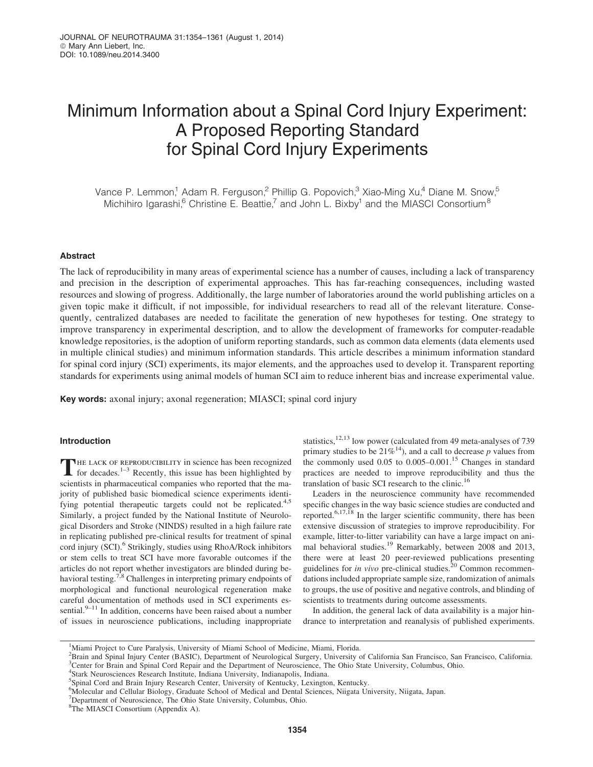# Minimum Information about a Spinal Cord Injury Experiment: A Proposed Reporting Standard for Spinal Cord Injury Experiments

Vance P. Lemmon,<sup>1</sup> Adam R. Ferguson,<sup>2</sup> Phillip G. Popovich,<sup>3</sup> Xiao-Ming Xu,<sup>4</sup> Diane M. Snow,<sup>5</sup> Michihiro Igarashi, $6$  Christine E. Beattie,<sup>7</sup> and John L. Bixby<sup>1</sup> and the MIASCI Consortium<sup>8</sup>

# Abstract

The lack of reproducibility in many areas of experimental science has a number of causes, including a lack of transparency and precision in the description of experimental approaches. This has far-reaching consequences, including wasted resources and slowing of progress. Additionally, the large number of laboratories around the world publishing articles on a given topic make it difficult, if not impossible, for individual researchers to read all of the relevant literature. Consequently, centralized databases are needed to facilitate the generation of new hypotheses for testing. One strategy to improve transparency in experimental description, and to allow the development of frameworks for computer-readable knowledge repositories, is the adoption of uniform reporting standards, such as common data elements (data elements used in multiple clinical studies) and minimum information standards. This article describes a minimum information standard for spinal cord injury (SCI) experiments, its major elements, and the approaches used to develop it. Transparent reporting standards for experiments using animal models of human SCI aim to reduce inherent bias and increase experimental value.

Key words: axonal injury; axonal regeneration; MIASCI; spinal cord injury

# Introduction

THE LACK OF REPRODUCIBILITY in science has been recognized for decades.<sup>1–3</sup> Recently, this issue has been highlighted by scientists in pharmaceutical companies who reported that the majority of published basic biomedical science experiments identifying potential therapeutic targets could not be replicated.<sup>4,5</sup> Similarly, a project funded by the National Institute of Neurological Disorders and Stroke (NINDS) resulted in a high failure rate in replicating published pre-clinical results for treatment of spinal cord injury (SCI).<sup>6</sup> Strikingly, studies using RhoA/Rock inhibitors or stem cells to treat SCI have more favorable outcomes if the articles do not report whether investigators are blinded during behavioral testing.<sup>7,8</sup> Challenges in interpreting primary endpoints of morphological and functional neurological regeneration make careful documentation of methods used in SCI experiments essential. $9-11$  In addition, concerns have been raised about a number of issues in neuroscience publications, including inappropriate statistics, $12,13$  low power (calculated from 49 meta-analyses of 739 primary studies to be  $21\%^{14}$ ), and a call to decrease p values from the commonly used  $0.05$  to  $0.005-0.001$ .<sup>15</sup> Changes in standard practices are needed to improve reproducibility and thus the translation of basic SCI research to the clinic.<sup>16</sup>

Leaders in the neuroscience community have recommended specific changes in the way basic science studies are conducted and reported.<sup>6,17,18</sup> In the larger scientific community, there has been extensive discussion of strategies to improve reproducibility. For example, litter-to-litter variability can have a large impact on animal behavioral studies.19 Remarkably, between 2008 and 2013, there were at least 20 peer-reviewed publications presenting guidelines for in vivo pre-clinical studies. $^{20}$  Common recommendations included appropriate sample size, randomization of animals to groups, the use of positive and negative controls, and blinding of scientists to treatments during outcome assessments.

In addition, the general lack of data availability is a major hindrance to interpretation and reanalysis of published experiments.

<sup>&</sup>lt;sup>1</sup>Miami Project to Cure Paralysis, University of Miami School of Medicine, Miami, Florida.

<sup>2</sup> Brain and Spinal Injury Center (BASIC), Department of Neurological Surgery, University of California San Francisco, San Francisco, California. 3 Center for Brain and Spinal Cord Repair and the Department of Neuroscience, The Ohio State University, Columbus, Ohio.

<sup>4</sup> Stark Neurosciences Research Institute, Indiana University, Indianapolis, Indiana.

<sup>5</sup> Spinal Cord and Brain Injury Research Center, University of Kentucky, Lexington, Kentucky.

<sup>6</sup> Molecular and Cellular Biology, Graduate School of Medical and Dental Sciences, Niigata University, Niigata, Japan.

<sup>&</sup>lt;sup>7</sup>Department of Neuroscience, The Ohio State University, Columbus, Ohio.

<sup>8</sup> The MIASCI Consortium (Appendix A).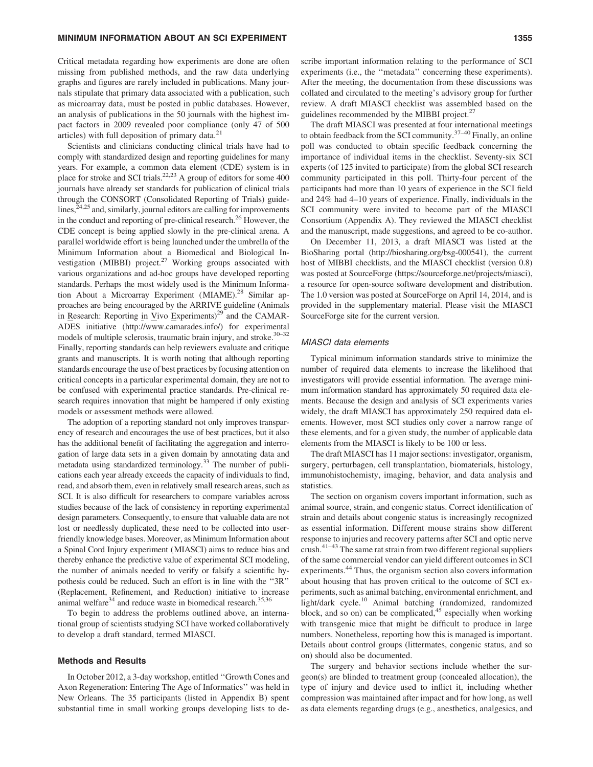Critical metadata regarding how experiments are done are often missing from published methods, and the raw data underlying graphs and figures are rarely included in publications. Many journals stipulate that primary data associated with a publication, such as microarray data, must be posted in public databases. However, an analysis of publications in the 50 journals with the highest impact factors in 2009 revealed poor compliance (only 47 of 500 articles) with full deposition of primary data. $^{21}$ 

Scientists and clinicians conducting clinical trials have had to comply with standardized design and reporting guidelines for many years. For example, a common data element (CDE) system is in place for stroke and SCI trials.<sup>22,23</sup> A group of editors for some 400 journals have already set standards for publication of clinical trials through the CONSORT (Consolidated Reporting of Trials) guidelines, $24,25$  and, similarly, journal editors are calling for improvements in the conduct and reporting of pre-clinical research.<sup>26</sup> However, the CDE concept is being applied slowly in the pre-clinical arena. A parallel worldwide effort is being launched under the umbrella of the Minimum Information about a Biomedical and Biological Investigation (MIBBI) project.<sup>27</sup> Working groups associated with various organizations and ad-hoc groups have developed reporting standards. Perhaps the most widely used is the Minimum Information About a Microarray Experiment (MIAME).<sup>28</sup> Similar approaches are being encouraged by the ARRIVE guideline (Animals in Research: Reporting in Vivo Experiments) $^{29}$  and the CAMAR-ADES initiative (http://www.camarades.info/) for experimental models of multiple sclerosis, traumatic brain injury, and stroke.<sup>30-32</sup> Finally, reporting standards can help reviewers evaluate and critique grants and manuscripts. It is worth noting that although reporting standards encourage the use of best practices by focusing attention on critical concepts in a particular experimental domain, they are not to be confused with experimental practice standards. Pre-clinical research requires innovation that might be hampered if only existing models or assessment methods were allowed.

The adoption of a reporting standard not only improves transparency of research and encourages the use of best practices, but it also has the additional benefit of facilitating the aggregation and interrogation of large data sets in a given domain by annotating data and metadata using standardized terminology.<sup>33</sup> The number of publications each year already exceeds the capacity of individuals to find, read, and absorb them, even in relatively small research areas, such as SCI. It is also difficult for researchers to compare variables across studies because of the lack of consistency in reporting experimental design parameters. Consequently, to ensure that valuable data are not lost or needlessly duplicated, these need to be collected into userfriendly knowledge bases. Moreover, as Minimum Information about a Spinal Cord Injury experiment (MIASCI) aims to reduce bias and thereby enhance the predictive value of experimental SCI modeling, the number of animals needed to verify or falsify a scientific hypothesis could be reduced. Such an effort is in line with the ''3R'' (Replacement, Refinement, and Reduction) initiative to increase animal welfare<sup>34</sup> and reduce waste in biomedical research.<sup>35,36</sup>

To begin to address the problems outlined above, an international group of scientists studying SCI have worked collaboratively to develop a draft standard, termed MIASCI.

# Methods and Results

In October 2012, a 3-day workshop, entitled ''Growth Cones and Axon Regeneration: Entering The Age of Informatics'' was held in New Orleans. The 35 participants (listed in Appendix B) spent substantial time in small working groups developing lists to describe important information relating to the performance of SCI experiments (i.e., the ''metadata'' concerning these experiments). After the meeting, the documentation from these discussions was collated and circulated to the meeting's advisory group for further review. A draft MIASCI checklist was assembled based on the guidelines recommended by the MIBBI project. $27$ 

The draft MIASCI was presented at four international meetings to obtain feedback from the SCI community.37–40 Finally, an online poll was conducted to obtain specific feedback concerning the importance of individual items in the checklist. Seventy-six SCI experts (of 125 invited to participate) from the global SCI research community participated in this poll. Thirty-four percent of the participants had more than 10 years of experience in the SCI field and 24% had 4–10 years of experience. Finally, individuals in the SCI community were invited to become part of the MIASCI Consortium (Appendix A). They reviewed the MIASCI checklist and the manuscript, made suggestions, and agreed to be co-author.

On December 11, 2013, a draft MIASCI was listed at the BioSharing portal (http://biosharing.org/bsg-000541), the current host of MIBBI checklists, and the MIASCI checklist (version 0.8) was posted at SourceForge (https://sourceforge.net/projects/miasci), a resource for open-source software development and distribution. The 1.0 version was posted at SourceForge on April 14, 2014, and is provided in the supplementary material. Please visit the MIASCI SourceForge site for the current version.

#### MIASCI data elements

Typical minimum information standards strive to minimize the number of required data elements to increase the likelihood that investigators will provide essential information. The average minimum information standard has approximately 50 required data elements. Because the design and analysis of SCI experiments varies widely, the draft MIASCI has approximately 250 required data elements. However, most SCI studies only cover a narrow range of these elements, and for a given study, the number of applicable data elements from the MIASCI is likely to be 100 or less.

The draft MIASCI has 11 major sections: investigator, organism, surgery, perturbagen, cell transplantation, biomaterials, histology, immunohistochemisty, imaging, behavior, and data analysis and statistics.

The section on organism covers important information, such as animal source, strain, and congenic status. Correct identification of strain and details about congenic status is increasingly recognized as essential information. Different mouse strains show different response to injuries and recovery patterns after SCI and optic nerve crush.41–43 The same rat strain from two different regional suppliers of the same commercial vendor can yield different outcomes in SCI experiments.<sup>44</sup> Thus, the organism section also covers information about housing that has proven critical to the outcome of SCI experiments, such as animal batching, environmental enrichment, and light/dark cycle.10 Animal batching (randomized, randomized block, and so on) can be complicated, $45$  especially when working with transgenic mice that might be difficult to produce in large numbers. Nonetheless, reporting how this is managed is important. Details about control groups (littermates, congenic status, and so on) should also be documented.

The surgery and behavior sections include whether the surgeon(s) are blinded to treatment group (concealed allocation), the type of injury and device used to inflict it, including whether compression was maintained after impact and for how long, as well as data elements regarding drugs (e.g., anesthetics, analgesics, and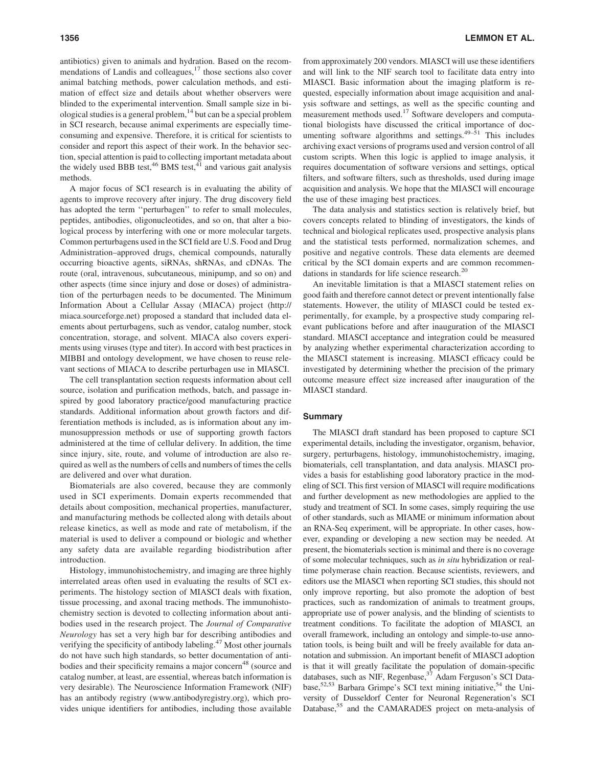antibiotics) given to animals and hydration. Based on the recommendations of Landis and colleagues, $17$  those sections also cover animal batching methods, power calculation methods, and estimation of effect size and details about whether observers were blinded to the experimental intervention. Small sample size in biological studies is a general problem,  $^{14}$  but can be a special problem in SCI research, because animal experiments are especially timeconsuming and expensive. Therefore, it is critical for scientists to consider and report this aspect of their work. In the behavior section, special attention is paid to collecting important metadata about the widely used BBB test,<sup>46</sup> BMS test,<sup>41</sup> and various gait analysis methods.

A major focus of SCI research is in evaluating the ability of agents to improve recovery after injury. The drug discovery field has adopted the term ''perturbagen'' to refer to small molecules, peptides, antibodies, oligonucleotides, and so on, that alter a biological process by interfering with one or more molecular targets. Common perturbagens used in the SCI field are U.S. Food and Drug Administration–approved drugs, chemical compounds, naturally occurring bioactive agents, siRNAs, shRNAs, and cDNAs. The route (oral, intravenous, subcutaneous, minipump, and so on) and other aspects (time since injury and dose or doses) of administration of the perturbagen needs to be documented. The Minimum Information About a Cellular Assay (MIACA) project (http:// miaca.sourceforge.net) proposed a standard that included data elements about perturbagens, such as vendor, catalog number, stock concentration, storage, and solvent. MIACA also covers experiments using viruses (type and titer). In accord with best practices in MIBBI and ontology development, we have chosen to reuse relevant sections of MIACA to describe perturbagen use in MIASCI.

The cell transplantation section requests information about cell source, isolation and purification methods, batch, and passage inspired by good laboratory practice/good manufacturing practice standards. Additional information about growth factors and differentiation methods is included, as is information about any immunosuppression methods or use of supporting growth factors administered at the time of cellular delivery. In addition, the time since injury, site, route, and volume of introduction are also required as well as the numbers of cells and numbers of times the cells are delivered and over what duration.

Biomaterials are also covered, because they are commonly used in SCI experiments. Domain experts recommended that details about composition, mechanical properties, manufacturer, and manufacturing methods be collected along with details about release kinetics, as well as mode and rate of metabolism, if the material is used to deliver a compound or biologic and whether any safety data are available regarding biodistribution after introduction.

Histology, immunohistochemistry, and imaging are three highly interrelated areas often used in evaluating the results of SCI experiments. The histology section of MIASCI deals with fixation, tissue processing, and axonal tracing methods. The immunohistochemistry section is devoted to collecting information about antibodies used in the research project. The Journal of Comparative Neurology has set a very high bar for describing antibodies and verifying the specificity of antibody labeling.<sup>47</sup> Most other journals do not have such high standards, so better documentation of antibodies and their specificity remains a major concern<sup>48</sup> (source and catalog number, at least, are essential, whereas batch information is very desirable). The Neuroscience Information Framework (NIF) has an antibody registry (www.antibodyregistry.org), which provides unique identifiers for antibodies, including those available from approximately 200 vendors. MIASCI will use these identifiers and will link to the NIF search tool to facilitate data entry into MIASCI. Basic information about the imaging platform is requested, especially information about image acquisition and analysis software and settings, as well as the specific counting and measurement methods used.17 Software developers and computational biologists have discussed the critical importance of documenting software algorithms and settings. $49-51$  This includes archiving exact versions of programs used and version control of all custom scripts. When this logic is applied to image analysis, it requires documentation of software versions and settings, optical filters, and software filters, such as thresholds, used during image acquisition and analysis. We hope that the MIASCI will encourage the use of these imaging best practices.

The data analysis and statistics section is relatively brief, but covers concepts related to blinding of investigators, the kinds of technical and biological replicates used, prospective analysis plans and the statistical tests performed, normalization schemes, and positive and negative controls. These data elements are deemed critical by the SCI domain experts and are common recommendations in standards for life science research.<sup>20</sup>

An inevitable limitation is that a MIASCI statement relies on good faith and therefore cannot detect or prevent intentionally false statements. However, the utility of MIASCI could be tested experimentally, for example, by a prospective study comparing relevant publications before and after inauguration of the MIASCI standard. MIASCI acceptance and integration could be measured by analyzing whether experimental characterization according to the MIASCI statement is increasing. MIASCI efficacy could be investigated by determining whether the precision of the primary outcome measure effect size increased after inauguration of the MIASCI standard.

#### Summary

The MIASCI draft standard has been proposed to capture SCI experimental details, including the investigator, organism, behavior, surgery, perturbagens, histology, immunohistochemistry, imaging, biomaterials, cell transplantation, and data analysis. MIASCI provides a basis for establishing good laboratory practice in the modeling of SCI. This first version of MIASCI will require modifications and further development as new methodologies are applied to the study and treatment of SCI. In some cases, simply requiring the use of other standards, such as MIAME or minimum information about an RNA-Seq experiment, will be appropriate. In other cases, however, expanding or developing a new section may be needed. At present, the biomaterials section is minimal and there is no coverage of some molecular techniques, such as in situ hybridization or realtime polymerase chain reaction. Because scientists, reviewers, and editors use the MIASCI when reporting SCI studies, this should not only improve reporting, but also promote the adoption of best practices, such as randomization of animals to treatment groups, appropriate use of power analysis, and the blinding of scientists to treatment conditions. To facilitate the adoption of MIASCI, an overall framework, including an ontology and simple-to-use annotation tools, is being built and will be freely available for data annotation and submission. An important benefit of MIASCI adoption is that it will greatly facilitate the population of domain-specific databases, such as NIF, Regenbase,<sup>37</sup> Adam Ferguson's SCI Database,<sup>52,53</sup> Barbara Grimpe's SCI text mining initiative,<sup>54</sup> the University of Dusseldorf Center for Neuronal Regeneration's SCI Database,<sup>55</sup> and the CAMARADES project on meta-analysis of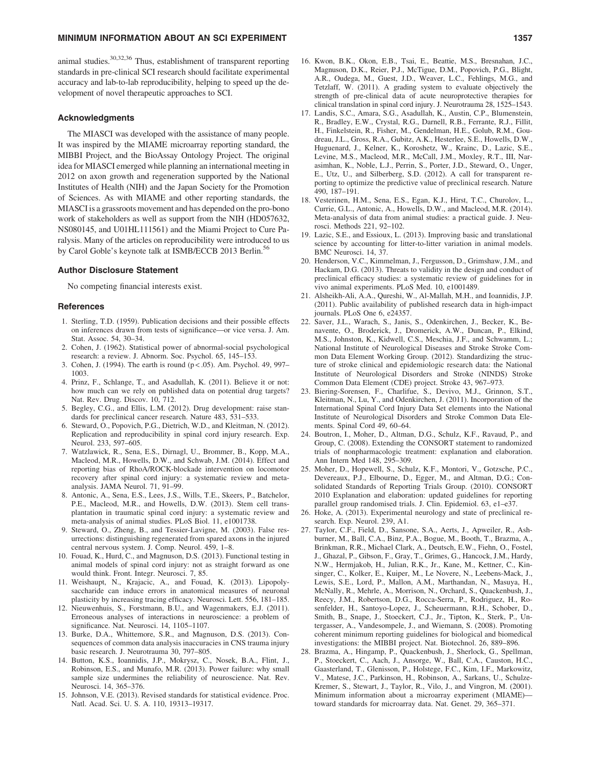## MINIMUM INFORMATION ABOUT AN SCI EXPERIMENT **1357** 1357

animal studies.<sup>30,32,36</sup> Thus, establishment of transparent reporting standards in pre-clinical SCI research should facilitate experimental accuracy and lab-to-lab reproducibility, helping to speed up the development of novel therapeutic approaches to SCI.

# Acknowledgments

The MIASCI was developed with the assistance of many people. It was inspired by the MIAME microarray reporting standard, the MIBBI Project, and the BioAssay Ontology Project. The original idea for MIASCI emerged while planning an international meeting in 2012 on axon growth and regeneration supported by the National Institutes of Health (NIH) and the Japan Society for the Promotion of Sciences. As with MIAME and other reporting standards, the MIASCI is a grassroots movement and has depended on the pro-bono work of stakeholders as well as support from the NIH (HD057632, NS080145, and U01HL111561) and the Miami Project to Cure Paralysis. Many of the articles on reproducibility were introduced to us by Carol Goble's keynote talk at ISMB/ECCB 2013 Berlin.<sup>5</sup>

### Author Disclosure Statement

No competing financial interests exist.

#### **References**

- 1. Sterling, T.D. (1959). Publication decisions and their possible effects on inferences drawn from tests of significance—or vice versa. J. Am. Stat. Assoc. 54, 30–34.
- 2. Cohen, J. (1962). Statistical power of abnormal-social psychological research: a review. J. Abnorm. Soc. Psychol. 65, 145–153.
- 3. Cohen, J. (1994). The earth is round (p < .05). Am. Psychol. 49, 997– 1003.
- 4. Prinz, F., Schlange, T., and Asadullah, K. (2011). Believe it or not: how much can we rely on published data on potential drug targets? Nat. Rev. Drug. Discov. 10, 712.
- 5. Begley, C.G., and Ellis, L.M. (2012). Drug development: raise standards for preclinical cancer research. Nature 483, 531–533.
- 6. Steward, O., Popovich, P.G., Dietrich, W.D., and Kleitman, N. (2012). Replication and reproducibility in spinal cord injury research. Exp. Neurol. 233, 597–605.
- 7. Watzlawick, R., Sena, E.S., Dirnagl, U., Brommer, B., Kopp, M.A., Macleod, M.R., Howells, D.W., and Schwab, J.M. (2014). Effect and reporting bias of RhoA/ROCK-blockade intervention on locomotor recovery after spinal cord injury: a systematic review and metaanalysis. JAMA Neurol. 71, 91–99.
- 8. Antonic, A., Sena, E.S., Lees, J.S., Wills, T.E., Skeers, P., Batchelor, P.E., Macleod, M.R., and Howells, D.W. (2013). Stem cell transplantation in traumatic spinal cord injury: a systematic review and meta-analysis of animal studies. PLoS Biol. 11, e1001738.
- 9. Steward, O., Zheng, B., and Tessier-Lavigne, M. (2003). False resurrections: distinguishing regenerated from spared axons in the injured central nervous system. J. Comp. Neurol. 459, 1–8.
- 10. Fouad, K., Hurd, C., and Magnuson, D.S. (2013). Functional testing in animal models of spinal cord injury: not as straight forward as one would think. Front. Integr. Neurosci. 7, 85.
- 11. Weishaupt, N., Krajacic, A., and Fouad, K. (2013). Lipopolysaccharide can induce errors in anatomical measures of neuronal plasticity by increasing tracing efficacy. Neurosci. Lett. 556, 181–185.
- 12. Nieuwenhuis, S., Forstmann, B.U., and Wagenmakers, E.J. (2011). Erroneous analyses of interactions in neuroscience: a problem of significance. Nat. Neurosci. 14, 1105–1107.
- 13. Burke, D.A., Whittemore, S.R., and Magnuson, D.S. (2013). Consequences of common data analysis inaccuracies in CNS trauma injury basic research. J. Neurotrauma 30, 797–805.
- 14. Button, K.S., Ioannidis, J.P., Mokrysz, C., Nosek, B.A., Flint, J., Robinson, E.S., and Munafo, M.R. (2013). Power failure: why small sample size undermines the reliability of neuroscience. Nat. Rev. Neurosci. 14, 365–376.
- 15. Johnson, V.E. (2013). Revised standards for statistical evidence. Proc. Natl. Acad. Sci. U. S. A. 110, 19313–19317.
- 16. Kwon, B.K., Okon, E.B., Tsai, E., Beattie, M.S., Bresnahan, J.C., Magnuson, D.K., Reier, P.J., McTigue, D.M., Popovich, P.G., Blight, A.R., Oudega, M., Guest, J.D., Weaver, L.C., Fehlings, M.G., and Tetzlaff, W. (2011). A grading system to evaluate objectively the strength of pre-clinical data of acute neuroprotective therapies for clinical translation in spinal cord injury. J. Neurotrauma 28, 1525–1543.
- 17. Landis, S.C., Amara, S.G., Asadullah, K., Austin, C.P., Blumenstein, R., Bradley, E.W., Crystal, R.G., Darnell, R.B., Ferrante, R.J., Fillit, H., Finkelstein, R., Fisher, M., Gendelman, H.E., Golub, R.M., Goudreau, J.L., Gross, R.A., Gubitz, A.K., Hesterlee, S.E., Howells, D.W., Huguenard, J., Kelner, K., Koroshetz, W., Krainc, D., Lazic, S.E., Levine, M.S., Macleod, M.R., McCall, J.M., Moxley, R.T., III, Narasimhan, K., Noble, L.J., Perrin, S., Porter, J.D., Steward, O., Unger, E., Utz, U., and Silberberg, S.D. (2012). A call for transparent reporting to optimize the predictive value of preclinical research. Nature 490, 187–191.
- 18. Vesterinen, H.M., Sena, E.S., Egan, K.J., Hirst, T.C., Churolov, L., Currie, G.L., Antonic, A., Howells, D.W., and Macleod, M.R. (2014). Meta-analysis of data from animal studies: a practical guide. J. Neurosci. Methods 221, 92–102.
- 19. Lazic, S.E., and Essioux, L. (2013). Improving basic and translational science by accounting for litter-to-litter variation in animal models. BMC Neurosci. 14, 37.
- 20. Henderson, V.C., Kimmelman, J., Fergusson, D., Grimshaw, J.M., and Hackam, D.G. (2013). Threats to validity in the design and conduct of preclinical efficacy studies: a systematic review of guidelines for in vivo animal experiments. PLoS Med. 10, e1001489.
- 21. Alsheikh-Ali, A.A., Qureshi, W., Al-Mallah, M.H., and Ioannidis, J.P. (2011). Public availability of published research data in high-impact journals. PLoS One 6, e24357.
- 22. Saver, J.L., Warach, S., Janis, S., Odenkirchen, J., Becker, K., Benavente, O., Broderick, J., Dromerick, A.W., Duncan, P., Elkind, M.S., Johnston, K., Kidwell, C.S., Meschia, J.F., and Schwamm, L.; National Institute of Neurological Diseases and Stroke Stroke Common Data Element Working Group. (2012). Standardizing the structure of stroke clinical and epidemiologic research data: the National Institute of Neurological Disorders and Stroke (NINDS) Stroke Common Data Element (CDE) project. Stroke 43, 967–973.
- 23. Biering-Sorensen, F., Charlifue, S., Devivo, M.J., Grinnon, S.T., Kleitman, N., Lu, Y., and Odenkirchen, J. (2011). Incorporation of the International Spinal Cord Injury Data Set elements into the National Institute of Neurological Disorders and Stroke Common Data Elements. Spinal Cord 49, 60–64.
- 24. Boutron, I., Moher, D., Altman, D.G., Schulz, K.F., Ravaud, P., and Group, C. (2008). Extending the CONSORT statement to randomized trials of nonpharmacologic treatment: explanation and elaboration. Ann Intern Med 148, 295–309.
- 25. Moher, D., Hopewell, S., Schulz, K.F., Montori, V., Gotzsche, P.C., Devereaux, P.J., Elbourne, D., Egger, M., and Altman, D.G.; Consolidated Standards of Reporting Trials Group. (2010). CONSORT 2010 Explanation and elaboration: updated guidelines for reporting parallel group randomised trials. J. Clin. Epidemiol. 63, e1–e37.
- 26. Hoke, A. (2013). Experimental neurology and state of preclinical research. Exp. Neurol. 239, A1.
- 27. Taylor, C.F., Field, D., Sansone, S.A., Aerts, J., Apweiler, R., Ashburner, M., Ball, C.A., Binz, P.A., Bogue, M., Booth, T., Brazma, A., Brinkman, R.R., Michael Clark, A., Deutsch, E.W., Fiehn, O., Fostel, J., Ghazal, P., Gibson, F., Gray, T., Grimes, G., Hancock, J.M., Hardy, N.W., Hermjakob, H., Julian, R.K., Jr., Kane, M., Kettner, C., Kinsinger, C., Kolker, E., Kuiper, M., Le Novere, N., Leebens-Mack, J., Lewis, S.E., Lord, P., Mallon, A.M., Marthandan, N., Masuya, H., McNally, R., Mehrle, A., Morrison, N., Orchard, S., Quackenbush, J., Reecy, J.M., Robertson, D.G., Rocca-Serra, P., Rodriguez, H., Rosenfelder, H., Santoyo-Lopez, J., Scheuermann, R.H., Schober, D., Smith, B., Snape, J., Stoeckert, C.J., Jr., Tipton, K., Sterk, P., Untergasser, A., Vandesompele, J., and Wiemann, S. (2008). Promoting coherent minimum reporting guidelines for biological and biomedical investigations: the MIBBI project. Nat. Biotechnol. 26, 889–896.
- 28. Brazma, A., Hingamp, P., Quackenbush, J., Sherlock, G., Spellman, P., Stoeckert, C., Aach, J., Ansorge, W., Ball, C.A., Causton, H.C., Gaasterland, T., Glenisson, P., Holstege, F.C., Kim, I.F., Markowitz, V., Matese, J.C., Parkinson, H., Robinson, A., Sarkans, U., Schulze-Kremer, S., Stewart, J., Taylor, R., Vilo, J., and Vingron, M. (2001). Minimum information about a microarray experiment (MIAME) toward standards for microarray data. Nat. Genet. 29, 365–371.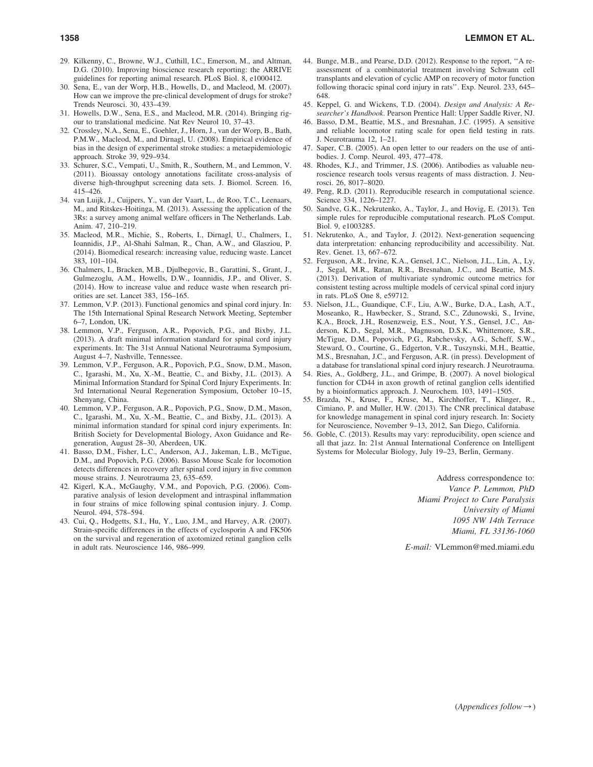- 29. Kilkenny, C., Browne, W.J., Cuthill, I.C., Emerson, M., and Altman, D.G. (2010). Improving bioscience research reporting: the ARRIVE guidelines for reporting animal research. PLoS Biol. 8, e1000412.
- 30. Sena, E., van der Worp, H.B., Howells, D., and Macleod, M. (2007). How can we improve the pre-clinical development of drugs for stroke? Trends Neurosci. 30, 433–439.
- 31. Howells, D.W., Sena, E.S., and Macleod, M.R. (2014). Bringing rigour to translational medicine. Nat Rev Neurol 10, 37–43.
- 32. Crossley, N.A., Sena, E., Goehler, J., Horn, J., van der Worp, B., Bath, P.M.W., Macleod, M., and Dirnagl, U. (2008). Empirical evidence of bias in the design of experimental stroke studies: a metaepidemiologic approach. Stroke 39, 929–934.
- 33. Schurer, S.C., Vempati, U., Smith, R., Southern, M., and Lemmon, V. (2011). Bioassay ontology annotations facilitate cross-analysis of diverse high-throughput screening data sets. J. Biomol. Screen. 16, 415–426.
- 34. van Luijk, J., Cuijpers, Y., van der Vaart, L., de Roo, T.C., Leenaars, M., and Ritskes-Hoitinga, M. (2013). Assessing the application of the 3Rs: a survey among animal welfare officers in The Netherlands. Lab. Anim. 47, 210–219.
- 35. Macleod, M.R., Michie, S., Roberts, I., Dirnagl, U., Chalmers, I., Ioannidis, J.P., Al-Shahi Salman, R., Chan, A.W., and Glasziou, P. (2014). Biomedical research: increasing value, reducing waste. Lancet 383, 101–104.
- 36. Chalmers, I., Bracken, M.B., Djulbegovic, B., Garattini, S., Grant, J., Gulmezoglu, A.M., Howells, D.W., Ioannidis, J.P., and Oliver, S. (2014). How to increase value and reduce waste when research priorities are set. Lancet 383, 156–165.
- 37. Lemmon, V.P. (2013). Functional genomics and spinal cord injury. In: The 15th International Spinal Research Network Meeting, September 6–7, London, UK.
- 38. Lemmon, V.P., Ferguson, A.R., Popovich, P.G., and Bixby, J.L. (2013). A draft minimal information standard for spinal cord injury experiments. In: The 31st Annual National Neurotrauma Symposium, August 4–7, Nashville, Tennessee.
- 39. Lemmon, V.P., Ferguson, A.R., Popovich, P.G., Snow, D.M., Mason, C., Igarashi, M., Xu, X.-M., Beattie, C., and Bixby, J.L. (2013). A Minimal Information Standard for Spinal Cord Injury Experiments. In: 3rd International Neural Regeneration Symposium, October 10–15, Shenyang, China.
- 40. Lemmon, V.P., Ferguson, A.R., Popovich, P.G., Snow, D.M., Mason, C., Igarashi, M., Xu, X.-M., Beattie, C., and Bixby, J.L. (2013). A minimal information standard for spinal cord injury experiments. In: British Society for Developmental Biology, Axon Guidance and Regeneration, August 28–30, Aberdeen, UK.
- 41. Basso, D.M., Fisher, L.C., Anderson, A.J., Jakeman, L.B., McTigue, D.M., and Popovich, P.G. (2006). Basso Mouse Scale for locomotion detects differences in recovery after spinal cord injury in five common mouse strains. J. Neurotrauma 23, 635–659.
- 42. Kigerl, K.A., McGaughy, V.M., and Popovich, P.G. (2006). Comparative analysis of lesion development and intraspinal inflammation in four strains of mice following spinal contusion injury. J. Comp. Neurol. 494, 578–594.
- 43. Cui, Q., Hodgetts, S.I., Hu, Y., Luo, J.M., and Harvey, A.R. (2007). Strain-specific differences in the effects of cyclosporin A and FK506 on the survival and regeneration of axotomized retinal ganglion cells in adult rats. Neuroscience 146, 986–999.
- 44. Bunge, M.B., and Pearse, D.D. (2012). Response to the report, ''A reassessment of a combinatorial treatment involving Schwann cell transplants and elevation of cyclic AMP on recovery of motor function following thoracic spinal cord injury in rats''. Exp. Neurol. 233, 645– 648.
- 45. Keppel, G. and Wickens, T.D. (2004). Design and Analysis: A Researcher's Handbook. Pearson Prentice Hall: Upper Saddle River, NJ.
- 46. Basso, D.M., Beattie, M.S., and Bresnahan, J.C. (1995). A sensitive and reliable locomotor rating scale for open field testing in rats. J. Neurotrauma 12, 1–21.
- 47. Saper, C.B. (2005). An open letter to our readers on the use of antibodies. J. Comp. Neurol. 493, 477–478.
- 48. Rhodes, K.J., and Trimmer, J.S. (2006). Antibodies as valuable neuroscience research tools versus reagents of mass distraction. J. Neurosci. 26, 8017–8020.
- 49. Peng, R.D. (2011). Reproducible research in computational science. Science 334, 1226–1227.
- 50. Sandve, G.K., Nekrutenko, A., Taylor, J., and Hovig, E. (2013). Ten simple rules for reproducible computational research. PLoS Comput. Biol. 9, e1003285.
- 51. Nekrutenko, A., and Taylor, J. (2012). Next-generation sequencing data interpretation: enhancing reproducibility and accessibility. Nat. Rev. Genet. 13, 667–672.
- 52. Ferguson, A.R., Irvine, K.A., Gensel, J.C., Nielson, J.L., Lin, A., Ly, J., Segal, M.R., Ratan, R.R., Bresnahan, J.C., and Beattie, M.S. (2013). Derivation of multivariate syndromic outcome metrics for consistent testing across multiple models of cervical spinal cord injury in rats. PLoS One 8, e59712.
- 53. Nielson, J.L., Guandique, C.F., Liu, A.W., Burke, D.A., Lash, A.T., Moseanko, R., Hawbecker, S., Strand, S.C., Zdunowski, S., Irvine, K.A., Brock, J.H., Rosenzweig, E.S., Nout, Y.S., Gensel, J.C., Anderson, K.D., Segal, M.R., Magnuson, D.S.K., Whittemore, S.R., McTigue, D.M., Popovich, P.G., Rabchevsky, A.G., Scheff, S.W., Steward, O., Courtine, G., Edgerton, V.R., Tuszynski, M.H., Beattie, M.S., Bresnahan, J.C., and Ferguson, A.R. (in press). Development of a database for translational spinal cord injury research. J Neurotrauma.
- 54. Ries, A., Goldberg, J.L., and Grimpe, B. (2007). A novel biological function for CD44 in axon growth of retinal ganglion cells identified by a bioinformatics approach. J. Neurochem. 103, 1491–1505.
- 55. Brazda, N., Kruse, F., Kruse, M., Kirchhoffer, T., Klinger, R., Cimiano, P. and Muller, H.W. (2013). The CNR preclinical database for knowledge management in spinal cord injury research. In: Society for Neuroscience, November 9–13, 2012, San Diego, California.
- 56. Goble, C. (2013). Results may vary: reproducibility, open science and all that jazz. In: 21st Annual International Conference on Intelligent Systems for Molecular Biology, July 19–23, Berlin, Germany.

Address correspondence to: Vance P. Lemmon, PhD Miami Project to Cure Paralysis University of Miami 1095 NW 14th Terrace Miami, FL 33136-1060

E-mail: VLemmon@med.miami.edu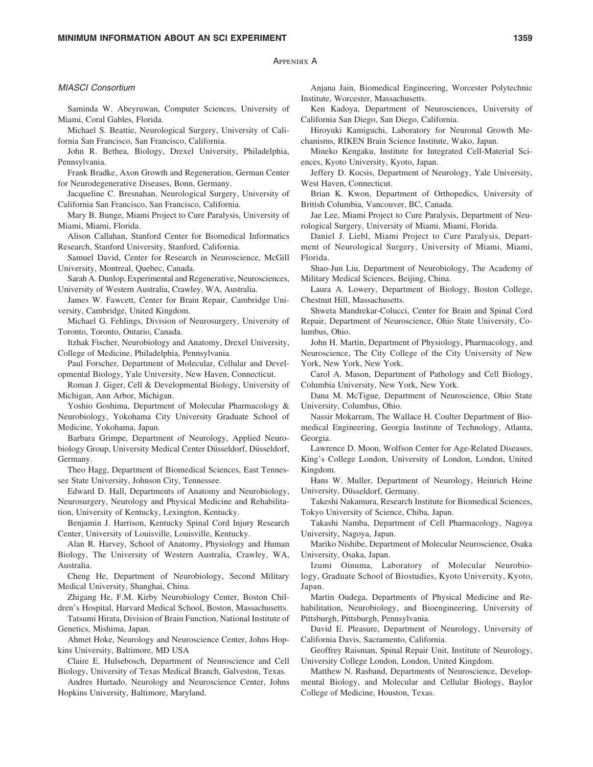#### **APPENDIX A**

# MIASCI Consortium

Saminda W. Abeyruwan, Computer Sciences, University of Miami, Coral Gables, Florida.

Michael S. Beattie, Neurological Surgery, University of California San Francisco, San Francisco, California.

John R. Bethea, Biology, Drexel University, Philadelphia, Pennsylvania.

Frank Bradke, Axon Growth and Regeneration, German Center for Neurodegenerative Diseases, Bonn, Germany.

Jacqueline C. Bresnahan, Neurological Surgery, University of California San Francisco, San Francisco, California.

Mary B. Bunge, Miami Project to Cure Paralysis, University of Miami, Miami, Florida.

Alison Callahan, Stanford Center for Biomedical Informatics Research, Stanford University, Stanford, California.

Samuel David, Center for Research in Neuroscience, McGill University, Montreal, Quebec, Canada.

Sarah A. Dunlop, Experimental and Regenerative, Neurosciences, University of Western Australia, Crawley, WA, Australia.

James W. Fawcett, Center for Brain Repair, Cambridge University, Cambridge, United Kingdom.

Michael G. Fehlings, Division of Neurosurgery, University of Toronto, Toronto, Ontario, Canada.

Itzhak Fischer, Neurobiology and Anatomy, Drexel University, College of Medicine, Philadelphia, Pennsylvania.

Paul Forscher, Department of Molecular, Cellular and Developmental Biology, Yale University, New Haven, Connecticut.

Roman J. Giger, Cell & Developmental Biology, University of Michigan, Ann Arbor, Michigan.

Yoshio Goshima, Department of Molecular Pharmacology & Neurobiology, Yokohama City University Graduate School of Medicine, Yokohama, Japan.

Barbara Grimpe, Department of Neurology, Applied Neurobiology Group, University Medical Center Düsseldorf, Düsseldorf, Germany.

Theo Hagg, Department of Biomedical Sciences, East Tennessee State University, Johnson City, Tennessee.

Edward D. Hall, Departments of Anatomy and Neurobiology, Neurosurgery, Neurology and Physical Medicine and Rehabilitation, University of Kentucky, Lexington, Kentucky.

Benjamin J. Harrison, Kentucky Spinal Cord Injury Research Center, University of Louisville, Louisville, Kentucky.

Alan R. Harvey, School of Anatomy, Physiology and Human Biology, The University of Western Australia, Crawley, WA, Australia.

Cheng He, Department of Neurobiology, Second Military Medical University, Shanghai, China.

Zhigang He, F.M. Kirby Neurobiology Center, Boston Children's Hospital, Harvard Medical School, Boston, Massachusetts.

Tatsumi Hirata, Division of Brain Function, National Institute of Genetics, Mishima, Japan.

Ahmet Hoke, Neurology and Neuroscience Center, Johns Hopkins University, Baltimore, MD USA

Claire E. Hulsebosch, Department of Neuroscience and Cell Biology, University of Texas Medical Branch, Galveston, Texas.

Andres Hurtado, Neurology and Neuroscience Center, Johns Hopkins University, Baltimore, Maryland.

Anjana Jain, Biomedical Engineering, Worcester Polytechnic Institute, Worcester, Massachusetts.

Ken Kadoya, Department of Neurosciences, University of California San Diego, San Diego, California.

Hiroyuki Kamiguchi, Laboratory for Neuronal Growth Mechanisms, RIKEN Brain Science Institute, Wako, Japan.

Mineko Kengaku, Institute for Integrated Cell-Material Sciences, Kyoto University, Kyoto, Japan.

Jeffery D. Kocsis, Department of Neurology, Yale University, West Haven, Connecticut.

Brian K. Kwon, Department of Orthopedics, University of British Columbia, Vancouver, BC, Canada.

Jae Lee, Miami Project to Cure Paralysis, Department of Neurological Surgery, University of Miami, Miami, Florida.

Daniel J. Liebl, Miami Project to Cure Paralysis, Department of Neurological Surgery, University of Miami, Miami, Florida.

Shao-Jun Liu, Department of Neurobiology, The Academy of Military Medical Sciences, Beijing, China.

Laura A. Lowery, Department of Biology, Boston College, Chestnut Hill, Massachusetts.

Shweta Mandrekar-Colucci, Center for Brain and Spinal Cord Repair, Department of Neuroscience, Ohio State University, Columbus, Ohio.

John H. Martin, Department of Physiology, Pharmacology, and Neuroscience, The City College of the City University of New York, New York, New York.

Carol A. Mason, Department of Pathology and Cell Biology, Columbia University, New York, New York.

Dana M. McTigue, Department of Neuroscience, Ohio State University, Columbus, Ohio.

Nassir Mokarram, The Wallace H. Coulter Department of Biomedical Engineering, Georgia Institute of Technology, Atlanta, Georgia.

Lawrence D. Moon, Wolfson Center for Age-Related Diseases, King's College London, University of London, London, United Kingdom.

Hans W. Muller, Department of Neurology, Heinrich Heine University, Düsseldorf, Germany.

Takeshi Nakamura, Research Institute for Biomedical Sciences, Tokyo University of Science, Chiba, Japan.

Takashi Namba, Department of Cell Pharmacology, Nagoya University, Nagoya, Japan.

Mariko Nishibe, Department of Molecular Neuroscience, Osaka University, Osaka, Japan.

Izumi Oinuma, Laboratory of Molecular Neurobiology, Graduate School of Biostudies, Kyoto University, Kyoto, Japan.

Martin Oudega, Departments of Physical Medicine and Rehabilitation, Neurobiology, and Bioengineering, University of Pittsburgh, Pittsburgh, Pennsylvania.

David E. Pleasure, Department of Neurology, University of California Davis, Sacramento, California.

Geoffrey Raisman, Spinal Repair Unit, Institute of Neurology, University College London, London, United Kingdom.

Matthew N. Rasband, Departments of Neuroscience, Developmental Biology, and Molecular and Cellular Biology, Baylor College of Medicine, Houston, Texas.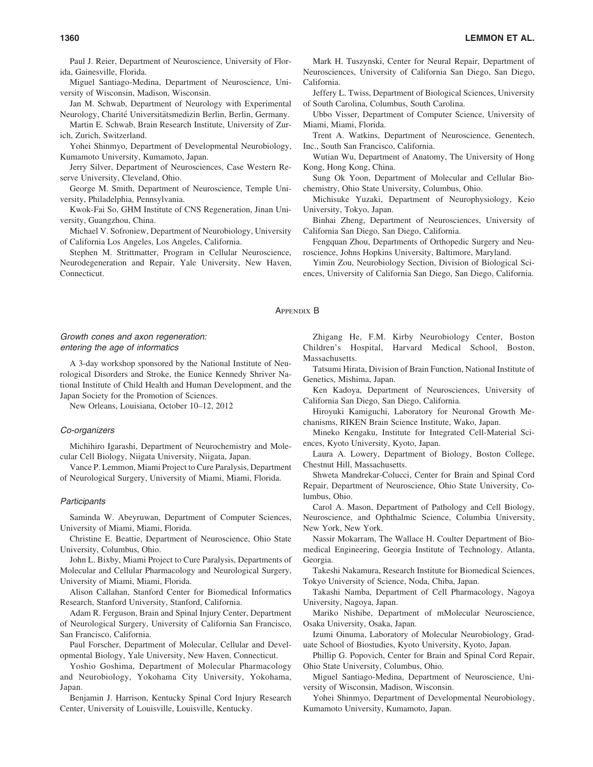Paul J. Reier, Department of Neuroscience, University of Florida, Gainesville, Florida.

Miguel Santiago-Medina, Department of Neuroscience, University of Wisconsin, Madison, Wisconsin.

Jan M. Schwab, Department of Neurology with Experimental Neurology, Charité Universitätsmedizin Berlin, Berlin, Germany.

Martin E. Schwab, Brain Research Institute, University of Zurich, Zurich, Switzerland.

Yohei Shinmyo, Department of Developmental Neurobiology, Kumamoto University, Kumamoto, Japan.

Jerry Silver, Department of Neurosciences, Case Western Reserve University, Cleveland, Ohio.

George M. Smith, Department of Neuroscience, Temple University, Philadelphia, Pennsylvania.

Kwok-Fai So, GHM Institute of CNS Regeneration, Jinan University, Guangzhou, China.

Michael V. Sofroniew, Department of Neurobiology, University of California Los Angeles, Los Angeles, California.

Stephen M. Strittmatter, Program in Cellular Neuroscience, Neurodegeneration and Repair, Yale University, New Haven, Connecticut.

Mark H. Tuszynski, Center for Neural Repair, Department of Neurosciences, University of California San Diego, San Diego, California.

Jeffery L. Twiss, Department of Biological Sciences, University of South Carolina, Columbus, South Carolina.

Ubbo Visser, Department of Computer Science, University of Miami, Miami, Florida.

Trent A. Watkins, Department of Neuroscience, Genentech, Inc., South San Francisco, California.

Wutian Wu, Department of Anatomy, The University of Hong Kong, Hong Kong, China.

Sung Ok Yoon, Department of Molecular and Cellular Biochemistry, Ohio State University, Columbus, Ohio.

Michisuke Yuzaki, Department of Neurophysiology, Keio University, Tokyo, Japan.

Binhai Zheng, Department of Neurosciences, University of California San Diego, San Diego, California.

Fengquan Zhou, Departments of Orthopedic Surgery and Neuroscience, Johns Hopkins University, Baltimore, Maryland.

Yimin Zou, Neurobiology Section, Division of Biological Sciences, University of California San Diego, San Diego, California.

#### Appendix B

# Growth cones and axon regeneration: entering the age of informatics

A 3-day workshop sponsored by the National Institute of Neurological Disorders and Stroke, the Eunice Kennedy Shriver National Institute of Child Health and Human Development, and the Japan Society for the Promotion of Sciences.

New Orleans, Louisiana, October 10–12, 2012

#### Co-organizers

Michihiro Igarashi, Department of Neurochemistry and Molecular Cell Biology, Niigata University, Niigata, Japan.

Vance P. Lemmon, Miami Project to Cure Paralysis, Department of Neurological Surgery, University of Miami, Miami, Florida.

#### **Participants**

Saminda W. Abeyruwan, Department of Computer Sciences, University of Miami, Miami, Florida.

Christine E. Beattie, Department of Neuroscience, Ohio State University, Columbus, Ohio.

John L. Bixby, Miami Project to Cure Paralysis, Departments of Molecular and Cellular Pharmacology and Neurological Surgery, University of Miami, Miami, Florida.

Alison Callahan, Stanford Center for Biomedical Informatics Research, Stanford University, Stanford, California.

Adam R. Ferguson, Brain and Spinal Injury Center, Department of Neurological Surgery, University of California San Francisco, San Francisco, California.

Paul Forscher, Department of Molecular, Cellular and Developmental Biology, Yale University, New Haven, Connecticut.

Yoshio Goshima, Department of Molecular Pharmacology and Neurobiology, Yokohama City University, Yokohama, Japan.

Benjamin J. Harrison, Kentucky Spinal Cord Injury Research Center, University of Louisville, Louisville, Kentucky.

Zhigang He, F.M. Kirby Neurobiology Center, Boston Children's Hospital, Harvard Medical School, Boston, Massachusetts.

Tatsumi Hirata, Division of Brain Function, National Institute of Genetics, Mishima, Japan.

Ken Kadoya, Department of Neurosciences, University of California San Diego, San Diego, California.

Hiroyuki Kamiguchi, Laboratory for Neuronal Growth Mechanisms, RIKEN Brain Science Institute, Wako, Japan.

Mineko Kengaku, Institute for Integrated Cell-Material Sciences, Kyoto University, Kyoto, Japan.

Laura A. Lowery, Department of Biology, Boston College, Chestnut Hill, Massachusetts.

Shweta Mandrekar-Colucci, Center for Brain and Spinal Cord Repair, Department of Neuroscience, Ohio State University, Columbus, Ohio.

Carol A. Mason, Department of Pathology and Cell Biology, Neuroscience, and Ophthalmic Science, Columbia University, New York, New York.

Nassir Mokarram, The Wallace H. Coulter Department of Biomedical Engineering, Georgia Institute of Technology, Atlanta, Georgia.

Takeshi Nakamura, Research Institute for Biomedical Sciences, Tokyo University of Science, Noda, Chiba, Japan.

Takashi Namba, Department of Cell Pharmacology, Nagoya University, Nagoya, Japan.

Mariko Nishibe, Department of mMolecular Neuroscience, Osaka University, Osaka, Japan.

Izumi Oinuma, Laboratory of Molecular Neurobiology, Graduate School of Biostudies, Kyoto University, Kyoto, Japan.

Phillip G. Popovich, Center for Brain and Spinal Cord Repair, Ohio State University, Columbus, Ohio.

Miguel Santiago-Medina, Department of Neuroscience, University of Wisconsin, Madison, Wisconsin.

Yohei Shinmyo, Department of Developmental Neurobiology, Kumamoto University, Kumamoto, Japan.